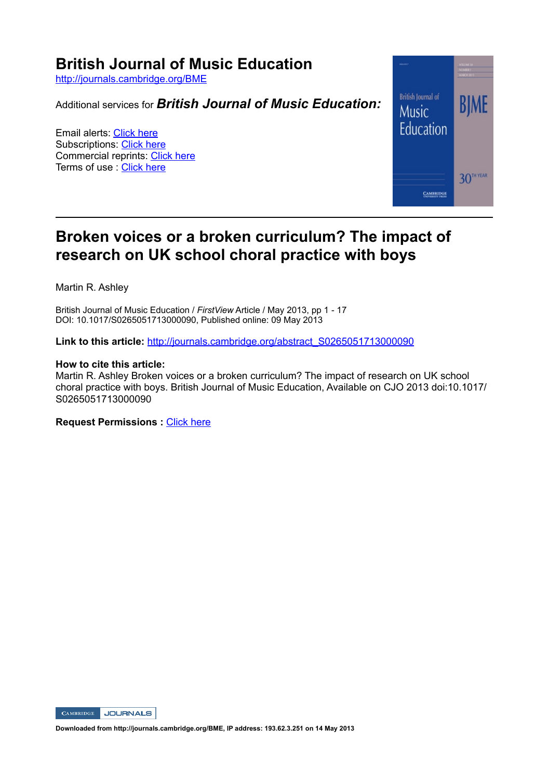# **British Journal of Music Education**

http://journals.cambridge.org/BME

Additional services for *British Journal of Music Education:*

Email alerts: Click here Subscriptions: Click here Commercial reprints: Click here Terms of use : Click here



## **Broken voices or a broken curriculum? The impact of research on UK school choral practice with boys**

Martin R. Ashley

British Journal of Music Education / *FirstView* Article / May 2013, pp 1 - 17 DOI: 10.1017/S0265051713000090, Published online: 09 May 2013

**Link to this article:** http://journals.cambridge.org/abstract\_S0265051713000090

#### **How to cite this article:**

Martin R. Ashley Broken voices or a broken curriculum? The impact of research on UK school choral practice with boys. British Journal of Music Education, Available on CJO 2013 doi:10.1017/ S0265051713000090

**Request Permissions : Click here** 

**CAMBRIDGE** JOURNALS

**Downloaded from http://journals.cambridge.org/BME, IP address: 193.62.3.251 on 14 May 2013**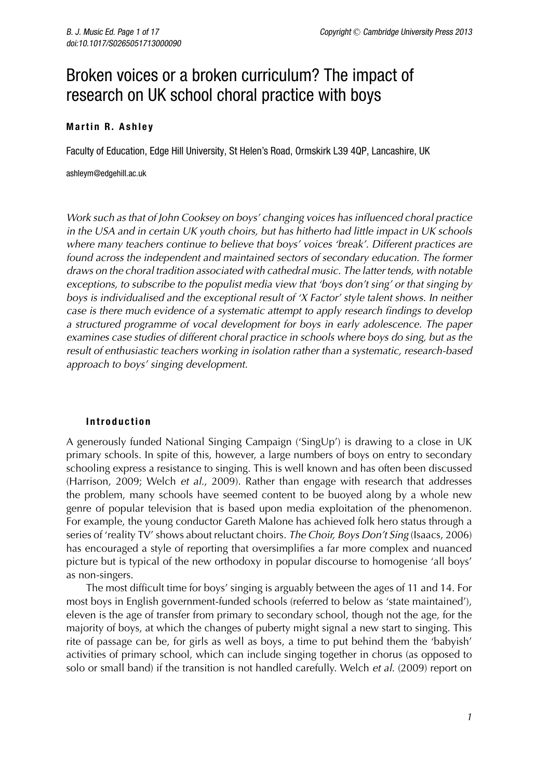# Broken voices or a broken curriculum? The impact of research on UK school choral practice with boys

## **Martin R. Ashley**

Faculty of Education, Edge Hill University, St Helen's Road, Ormskirk L39 4QP, Lancashire, UK

ashleym@edgehill.ac.uk

Work such as that of John Cooksey on boys' changing voices has influenced choral practice in the USA and in certain UK youth choirs, but has hitherto had little impact in UK schools where many teachers continue to believe that boys' voices 'break'. Different practices are found across the independent and maintained sectors of secondary education. The former draws on the choral tradition associated with cathedral music. The latter tends, with notable exceptions, to subscribe to the populist media view that 'boys don't sing' or that singing by boys is individualised and the exceptional result of 'X Factor' style talent shows. In neither case is there much evidence of <sup>a</sup> systematic attempt to apply research findings to develop <sup>a</sup> structured programme of vocal development for boys in early adolescence. The paper examines case studies of different choral practice in schools where boys do sing, but as the result of enthusiastic teachers working in isolation rather than <sup>a</sup> systematic, research-based approach to boys' singing development.

## **Introduction**

A generously funded National Singing Campaign ('SingUp') is drawing to a close in UK primary schools. In spite of this, however, a large numbers of boys on entry to secondary schooling express a resistance to singing. This is well known and has often been discussed (Harrison, 2009; Welch et al., 2009). Rather than engage with research that addresses the problem, many schools have seemed content to be buoyed along by a whole new genre of popular television that is based upon media exploitation of the phenomenon. For example, the young conductor Gareth Malone has achieved folk hero status through a series of 'reality TV' shows about reluctant choirs. The Choir, Boys Don't Sing (Isaacs, 2006) has encouraged a style of reporting that oversimplifies a far more complex and nuanced picture but is typical of the new orthodoxy in popular discourse to homogenise 'all boys' as non-singers.

The most difficult time for boys' singing is arguably between the ages of 11 and 14. For most boys in English government-funded schools (referred to below as 'state maintained'), eleven is the age of transfer from primary to secondary school, though not the age, for the majority of boys, at which the changes of puberty might signal a new start to singing. This rite of passage can be, for girls as well as boys, a time to put behind them the 'babyish' activities of primary school, which can include singing together in chorus (as opposed to solo or small band) if the transition is not handled carefully. Welch et al. (2009) report on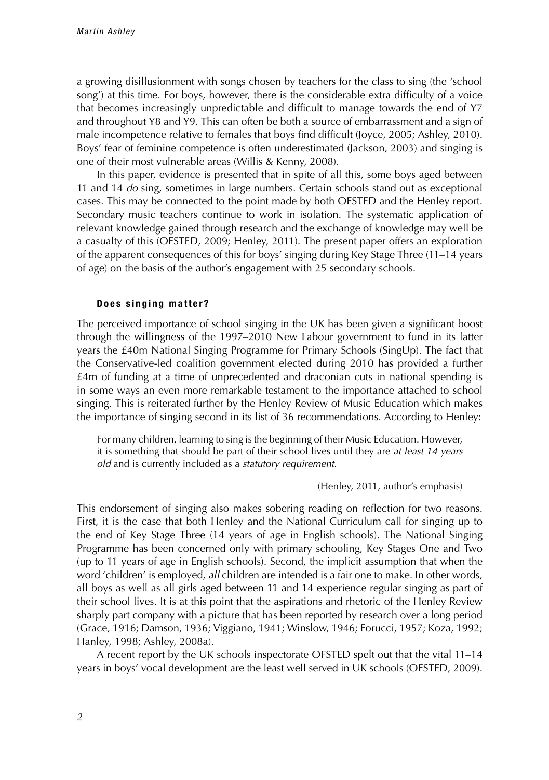a growing disillusionment with songs chosen by teachers for the class to sing (the 'school song') at this time. For boys, however, there is the considerable extra difficulty of a voice that becomes increasingly unpredictable and difficult to manage towards the end of Y7 and throughout Y8 and Y9. This can often be both a source of embarrassment and a sign of male incompetence relative to females that boys find difficult (Joyce, 2005; Ashley, 2010). Boys' fear of feminine competence is often underestimated (Jackson, 2003) and singing is one of their most vulnerable areas (Willis & Kenny, 2008).

In this paper, evidence is presented that in spite of all this, some boys aged between 11 and 14 do sing, sometimes in large numbers. Certain schools stand out as exceptional cases. This may be connected to the point made by both OFSTED and the Henley report. Secondary music teachers continue to work in isolation. The systematic application of relevant knowledge gained through research and the exchange of knowledge may well be a casualty of this (OFSTED, 2009; Henley, 2011). The present paper offers an exploration of the apparent consequences of this for boys' singing during Key Stage Three (11–14 years of age) on the basis of the author's engagement with 25 secondary schools.

## **Does singing matter?**

The perceived importance of school singing in the UK has been given a significant boost through the willingness of the 1997–2010 New Labour government to fund in its latter years the £40m National Singing Programme for Primary Schools (SingUp). The fact that the Conservative-led coalition government elected during 2010 has provided a further £4m of funding at a time of unprecedented and draconian cuts in national spending is in some ways an even more remarkable testament to the importance attached to school singing. This is reiterated further by the Henley Review of Music Education which makes the importance of singing second in its list of 36 recommendations. According to Henley:

For many children, learning to sing is the beginning of their Music Education. However, it is something that should be part of their school lives until they are at least 14 years old and is currently included as a statutory requirement.

(Henley, 2011, author's emphasis)

This endorsement of singing also makes sobering reading on reflection for two reasons. First, it is the case that both Henley and the National Curriculum call for singing up to the end of Key Stage Three (14 years of age in English schools). The National Singing Programme has been concerned only with primary schooling, Key Stages One and Two (up to 11 years of age in English schools). Second, the implicit assumption that when the word 'children' is employed, all children are intended is a fair one to make. In other words, all boys as well as all girls aged between 11 and 14 experience regular singing as part of their school lives. It is at this point that the aspirations and rhetoric of the Henley Review sharply part company with a picture that has been reported by research over a long period (Grace, 1916; Damson, 1936; Viggiano, 1941; Winslow, 1946; Forucci, 1957; Koza, 1992; Hanley, 1998; Ashley, 2008a).

A recent report by the UK schools inspectorate OFSTED spelt out that the vital 11–14 years in boys' vocal development are the least well served in UK schools (OFSTED, 2009).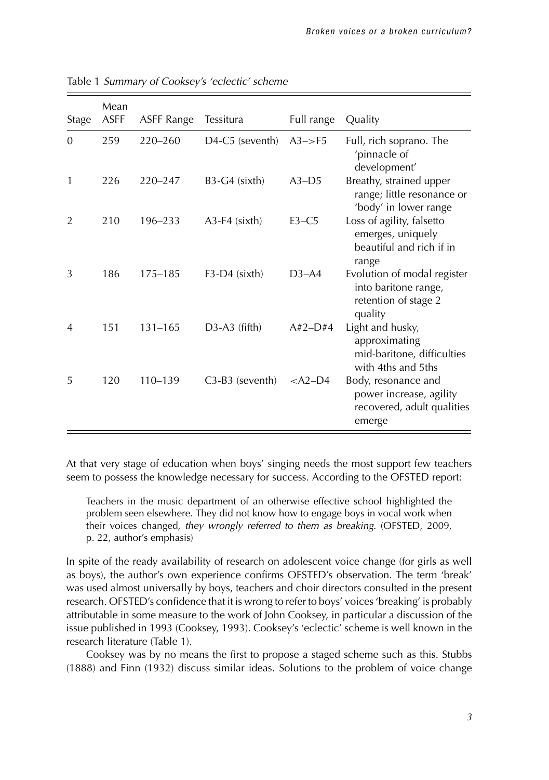| Stage          | Mean<br><b>ASFF</b> | <b>ASFF Range</b> | Tessitura       | Full range          | Quality                                                                                |
|----------------|---------------------|-------------------|-----------------|---------------------|----------------------------------------------------------------------------------------|
| $\overline{0}$ | 259                 | $220 - 260$       | D4-C5 (seventh) | $A3 \rightarrow F5$ | Full, rich soprano. The<br>'pinnacle of<br>development'                                |
| 1              | 226                 | $220 - 247$       | $B3-G4$ (sixth) | $A3-D5$             | Breathy, strained upper<br>range; little resonance or<br>'body' in lower range         |
| $\overline{2}$ | 210                 | 196-233           | $A3-F4$ (sixth) | $E3-C5$             | Loss of agility, falsetto<br>emerges, uniquely<br>beautiful and rich if in<br>range    |
| 3              | 186                 | 175-185           | $F3-D4$ (sixth) | $D3-A4$             | Evolution of modal register<br>into baritone range,<br>retention of stage 2<br>quality |
| $\overline{4}$ | 151                 | $131 - 165$       | $D3-A3$ (fifth) | $A#2-D#4$           | Light and husky,<br>approximating<br>mid-baritone, difficulties<br>with 4ths and 5ths  |
| 5              | 120                 | $110 - 139$       | C3-B3 (seventh) | $<$ A2–D4           | Body, resonance and<br>power increase, agility<br>recovered, adult qualities<br>emerge |

Table 1 Summary of Cooksey's 'eclectic' scheme

At that very stage of education when boys' singing needs the most support few teachers seem to possess the knowledge necessary for success. According to the OFSTED report:

Teachers in the music department of an otherwise effective school highlighted the problem seen elsewhere. They did not know how to engage boys in vocal work when their voices changed, they wrongly referred to them as breaking. (OFSTED, 2009, p. 22, author's emphasis)

In spite of the ready availability of research on adolescent voice change (for girls as well as boys), the author's own experience confirms OFSTED's observation. The term 'break' was used almost universally by boys, teachers and choir directors consulted in the present research. OFSTED's confidence that it is wrong to refer to boys' voices 'breaking' is probably attributable in some measure to the work of John Cooksey, in particular a discussion of the issue published in 1993 (Cooksey, 1993). Cooksey's 'eclectic' scheme is well known in the research literature (Table 1).

Cooksey was by no means the first to propose a staged scheme such as this. Stubbs (1888) and Finn (1932) discuss similar ideas. Solutions to the problem of voice change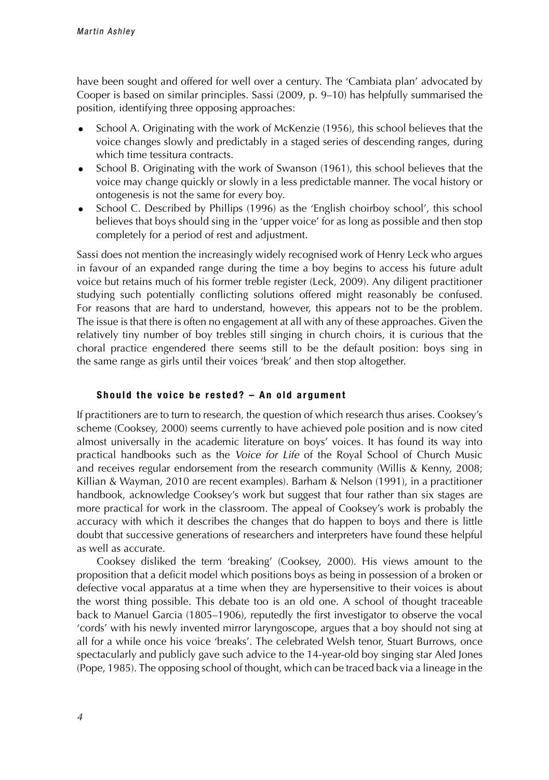have been sought and offered for well over a century. The 'Cambiata plan' advocated by Cooper is based on similar principles. Sassi (2009, p. 9–10) has helpfully summarised the position, identifying three opposing approaches:

- School A. Originating with the work of McKenzie (1956), this school believes that the voice changes slowly and predictably in a staged series of descending ranges, during which time tessitura contracts.
- School B. Originating with the work of Swanson (1961), this school believes that the voice may change quickly or slowly in a less predictable manner. The vocal history or ontogenesis is not the same for every boy.
- School C. Described by Phillips (1996) as the 'English choirboy school', this school believes that boys should sing in the 'upper voice' for as long as possible and then stop completely for a period of rest and adjustment.

Sassi does not mention the increasingly widely recognised work of Henry Leck who argues in favour of an expanded range during the time a boy begins to access his future adult voice but retains much of his former treble register (Leck, 2009). Any diligent practitioner studying such potentially conflicting solutions offered might reasonably be confused. For reasons that are hard to understand, however, this appears not to be the problem. The issue is that there is often no engagement at all with any of these approaches. Given the relatively tiny number of boy trebles still singing in church choirs, it is curious that the choral practice engendered there seems still to be the default position: boys sing in the same range as girls until their voices 'break' and then stop altogether.

## **Should the voice be rested? – An old argument**

If practitioners are to turn to research, the question of which research thus arises. Cooksey's scheme (Cooksey, 2000) seems currently to have achieved pole position and is now cited almost universally in the academic literature on boys' voices. It has found its way into practical handbooks such as the Voice for Life of the Royal School of Church Music and receives regular endorsement from the research community (Willis & Kenny, 2008; Killian & Wayman, 2010 are recent examples). Barham & Nelson (1991), in a practitioner handbook, acknowledge Cooksey's work but suggest that four rather than six stages are more practical for work in the classroom. The appeal of Cooksey's work is probably the accuracy with which it describes the changes that do happen to boys and there is little doubt that successive generations of researchers and interpreters have found these helpful as well as accurate.

Cooksey disliked the term 'breaking' (Cooksey, 2000). His views amount to the proposition that a deficit model which positions boys as being in possession of a broken or defective vocal apparatus at a time when they are hypersensitive to their voices is about the worst thing possible. This debate too is an old one. A school of thought traceable back to Manuel Garcia (1805–1906), reputedly the first investigator to observe the vocal 'cords' with his newly invented mirror laryngoscope, argues that a boy should not sing at all for a while once his voice 'breaks'. The celebrated Welsh tenor, Stuart Burrows, once spectacularly and publicly gave such advice to the 14-year-old boy singing star Aled Jones (Pope, 1985). The opposing school of thought, which can be traced back via a lineage in the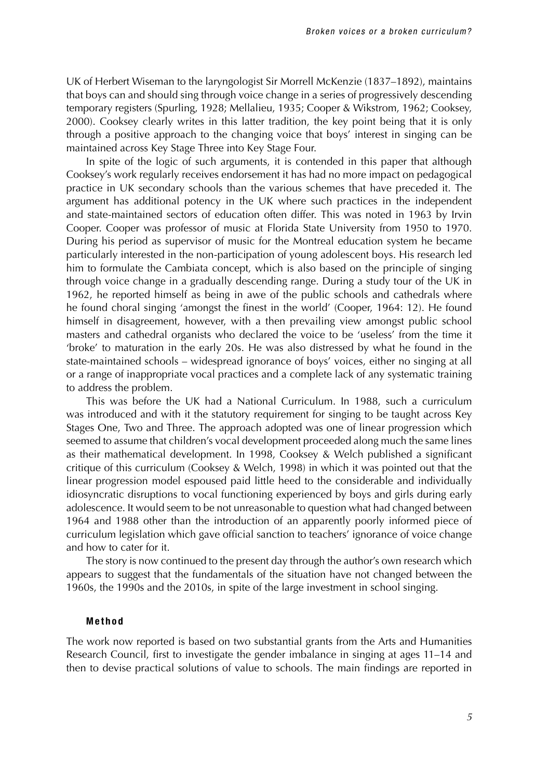UK of Herbert Wiseman to the laryngologist Sir Morrell McKenzie (1837–1892), maintains that boys can and should sing through voice change in a series of progressively descending temporary registers (Spurling, 1928; Mellalieu, 1935; Cooper & Wikstrom, 1962; Cooksey, 2000). Cooksey clearly writes in this latter tradition, the key point being that it is only through a positive approach to the changing voice that boys' interest in singing can be maintained across Key Stage Three into Key Stage Four.

In spite of the logic of such arguments, it is contended in this paper that although Cooksey's work regularly receives endorsement it has had no more impact on pedagogical practice in UK secondary schools than the various schemes that have preceded it. The argument has additional potency in the UK where such practices in the independent and state-maintained sectors of education often differ. This was noted in 1963 by Irvin Cooper. Cooper was professor of music at Florida State University from 1950 to 1970. During his period as supervisor of music for the Montreal education system he became particularly interested in the non-participation of young adolescent boys. His research led him to formulate the Cambiata concept, which is also based on the principle of singing through voice change in a gradually descending range. During a study tour of the UK in 1962, he reported himself as being in awe of the public schools and cathedrals where he found choral singing 'amongst the finest in the world' (Cooper, 1964: 12). He found himself in disagreement, however, with a then prevailing view amongst public school masters and cathedral organists who declared the voice to be 'useless' from the time it 'broke' to maturation in the early 20s. He was also distressed by what he found in the state-maintained schools – widespread ignorance of boys' voices, either no singing at all or a range of inappropriate vocal practices and a complete lack of any systematic training to address the problem.

This was before the UK had a National Curriculum. In 1988, such a curriculum was introduced and with it the statutory requirement for singing to be taught across Key Stages One, Two and Three. The approach adopted was one of linear progression which seemed to assume that children's vocal development proceeded along much the same lines as their mathematical development. In 1998, Cooksey & Welch published a significant critique of this curriculum (Cooksey & Welch, 1998) in which it was pointed out that the linear progression model espoused paid little heed to the considerable and individually idiosyncratic disruptions to vocal functioning experienced by boys and girls during early adolescence. It would seem to be not unreasonable to question what had changed between 1964 and 1988 other than the introduction of an apparently poorly informed piece of curriculum legislation which gave official sanction to teachers' ignorance of voice change and how to cater for it.

The story is now continued to the present day through the author's own research which appears to suggest that the fundamentals of the situation have not changed between the 1960s, the 1990s and the 2010s, in spite of the large investment in school singing.

#### **Method**

The work now reported is based on two substantial grants from the Arts and Humanities Research Council, first to investigate the gender imbalance in singing at ages 11–14 and then to devise practical solutions of value to schools. The main findings are reported in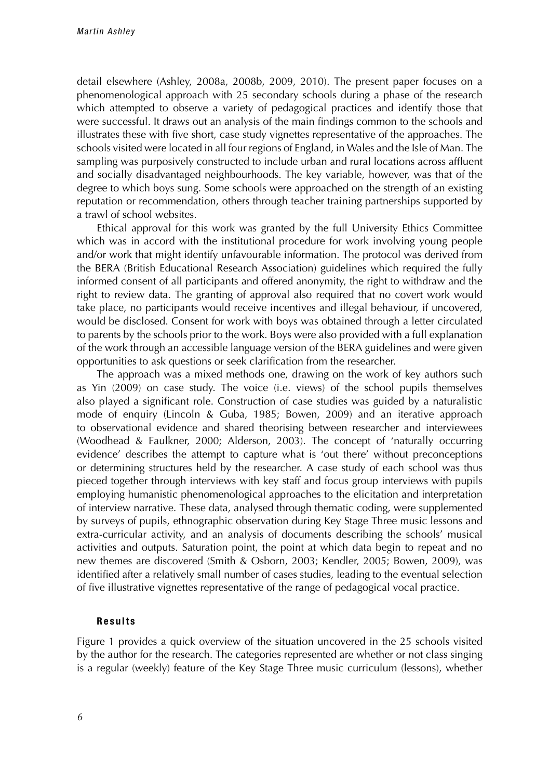detail elsewhere (Ashley, 2008a, 2008b, 2009, 2010). The present paper focuses on a phenomenological approach with 25 secondary schools during a phase of the research which attempted to observe a variety of pedagogical practices and identify those that were successful. It draws out an analysis of the main findings common to the schools and illustrates these with five short, case study vignettes representative of the approaches. The schools visited were located in all four regions of England, in Wales and the Isle of Man. The sampling was purposively constructed to include urban and rural locations across affluent and socially disadvantaged neighbourhoods. The key variable, however, was that of the degree to which boys sung. Some schools were approached on the strength of an existing reputation or recommendation, others through teacher training partnerships supported by a trawl of school websites.

Ethical approval for this work was granted by the full University Ethics Committee which was in accord with the institutional procedure for work involving young people and/or work that might identify unfavourable information. The protocol was derived from the BERA (British Educational Research Association) guidelines which required the fully informed consent of all participants and offered anonymity, the right to withdraw and the right to review data. The granting of approval also required that no covert work would take place, no participants would receive incentives and illegal behaviour, if uncovered, would be disclosed. Consent for work with boys was obtained through a letter circulated to parents by the schools prior to the work. Boys were also provided with a full explanation of the work through an accessible language version of the BERA guidelines and were given opportunities to ask questions or seek clarification from the researcher.

The approach was a mixed methods one, drawing on the work of key authors such as Yin (2009) on case study. The voice (i.e. views) of the school pupils themselves also played a significant role. Construction of case studies was guided by a naturalistic mode of enquiry (Lincoln & Guba, 1985; Bowen, 2009) and an iterative approach to observational evidence and shared theorising between researcher and interviewees (Woodhead & Faulkner, 2000; Alderson, 2003). The concept of 'naturally occurring evidence' describes the attempt to capture what is 'out there' without preconceptions or determining structures held by the researcher. A case study of each school was thus pieced together through interviews with key staff and focus group interviews with pupils employing humanistic phenomenological approaches to the elicitation and interpretation of interview narrative. These data, analysed through thematic coding, were supplemented by surveys of pupils, ethnographic observation during Key Stage Three music lessons and extra-curricular activity, and an analysis of documents describing the schools' musical activities and outputs. Saturation point, the point at which data begin to repeat and no new themes are discovered (Smith & Osborn, 2003; Kendler, 2005; Bowen, 2009), was identified after a relatively small number of cases studies, leading to the eventual selection of five illustrative vignettes representative of the range of pedagogical vocal practice.

#### **Results**

Figure 1 provides a quick overview of the situation uncovered in the 25 schools visited by the author for the research. The categories represented are whether or not class singing is a regular (weekly) feature of the Key Stage Three music curriculum (lessons), whether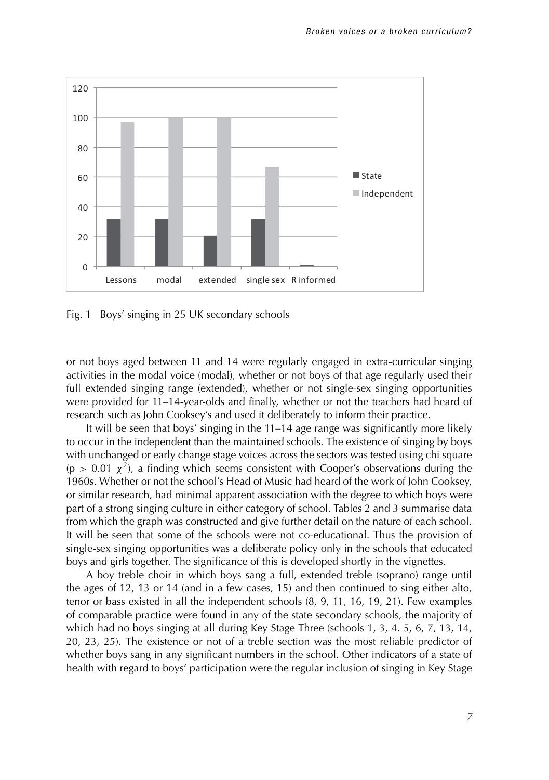

Fig. 1 Boys' singing in 25 UK secondary schools

or not boys aged between 11 and 14 were regularly engaged in extra-curricular singing activities in the modal voice (modal), whether or not boys of that age regularly used their full extended singing range (extended), whether or not single-sex singing opportunities were provided for 11–14-year-olds and finally, whether or not the teachers had heard of research such as John Cooksey's and used it deliberately to inform their practice.

It will be seen that boys' singing in the 11–14 age range was significantly more likely to occur in the independent than the maintained schools. The existence of singing by boys with unchanged or early change stage voices across the sectors was tested using chi square (p > 0.01  $\chi^2$ ), a finding which seems consistent with Cooper's observations during the 1960s. Whether or not the school's Head of Music had heard of the work of John Cooksey, or similar research, had minimal apparent association with the degree to which boys were part of a strong singing culture in either category of school. Tables 2 and 3 summarise data from which the graph was constructed and give further detail on the nature of each school. It will be seen that some of the schools were not co-educational. Thus the provision of single-sex singing opportunities was a deliberate policy only in the schools that educated boys and girls together. The significance of this is developed shortly in the vignettes.

A boy treble choir in which boys sang a full, extended treble (soprano) range until the ages of 12, 13 or 14 (and in a few cases, 15) and then continued to sing either alto, tenor or bass existed in all the independent schools (8, 9, 11, 16, 19, 21). Few examples of comparable practice were found in any of the state secondary schools, the majority of which had no boys singing at all during Key Stage Three (schools 1, 3, 4. 5, 6, 7, 13, 14, 20, 23, 25). The existence or not of a treble section was the most reliable predictor of whether boys sang in any significant numbers in the school. Other indicators of a state of health with regard to boys' participation were the regular inclusion of singing in Key Stage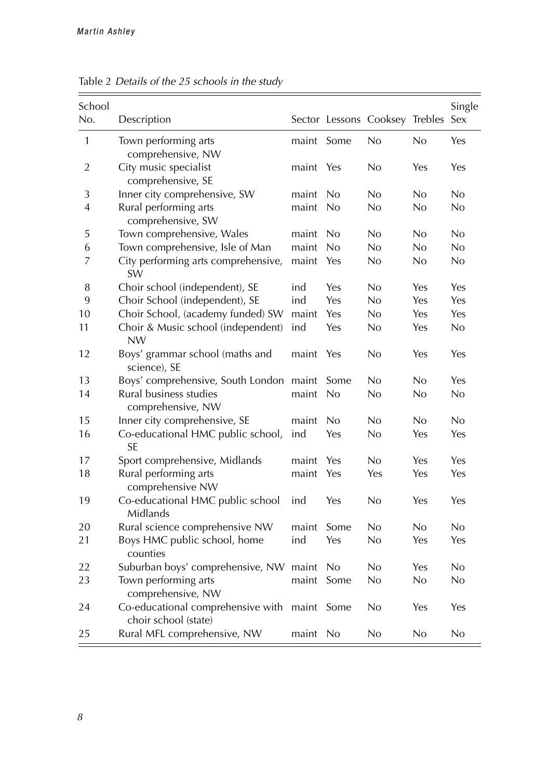| School         |                                                           |       |      |                                    |     | Single |
|----------------|-----------------------------------------------------------|-------|------|------------------------------------|-----|--------|
| No.            | Description                                               |       |      | Sector Lessons Cooksey Trebles Sex |     |        |
| $\mathbf{1}$   | Town performing arts<br>comprehensive, NW                 | maint | Some | No                                 | No  | Yes    |
| $\overline{2}$ | City music specialist<br>comprehensive, SE                | maint | Yes  | No                                 | Yes | Yes    |
| 3              | Inner city comprehensive, SW                              | maint | No   | No                                 | No  | No     |
| 4              | Rural performing arts<br>comprehensive, SW                | maint | No   | No                                 | No  | No     |
| 5              | Town comprehensive, Wales                                 | maint | No   | No                                 | No  | No     |
| 6              | Town comprehensive, Isle of Man                           | maint | No   | No                                 | No  | No     |
| 7              | City performing arts comprehensive,<br><b>SW</b>          | maint | Yes  | No                                 | No  | No     |
| $\, 8$         | Choir school (independent), SE                            | ind   | Yes  | No                                 | Yes | Yes    |
| 9              | Choir School (independent), SE                            | ind   | Yes  | No                                 | Yes | Yes    |
| 10             | Choir School, (academy funded) SW                         | maint | Yes  | No                                 | Yes | Yes    |
| 11             | Choir & Music school (independent)<br><b>NW</b>           | ind   | Yes  | No                                 | Yes | No     |
| 12             | Boys' grammar school (maths and<br>science), SE           | maint | Yes  | No                                 | Yes | Yes    |
| 13             | Boys' comprehensive, South London                         | maint | Some | No                                 | No  | Yes    |
| 14             | Rural business studies<br>comprehensive, NW               | maint | No   | No                                 | No  | No     |
| 15             | Inner city comprehensive, SE                              | maint | No   | No                                 | No  | No     |
| 16             | Co-educational HMC public school,<br><b>SE</b>            | ind   | Yes  | No                                 | Yes | Yes    |
| 17             | Sport comprehensive, Midlands                             | maint | Yes  | No                                 | Yes | Yes    |
| 18             | Rural performing arts<br>comprehensive NW                 | maint | Yes  | Yes                                | Yes | Yes    |
| 19             | Co-educational HMC public school<br>Midlands              | ind   | Yes  | No                                 | Yes | Yes    |
| 20             | Rural science comprehensive NW                            | maint | Some | No                                 | No  | No     |
| 21             | Boys HMC public school, home<br>counties                  | ind   | Yes  | No                                 | Yes | Yes    |
| 22             | Suburban boys' comprehensive, NW                          | maint | No   | No                                 | Yes | No     |
| 23             | Town performing arts<br>comprehensive, NW                 | maint | Some | No                                 | No  | No     |
| 24             | Co-educational comprehensive with<br>choir school (state) | maint | Some | No                                 | Yes | Yes    |
| 25             | Rural MFL comprehensive, NW                               | maint | No   | No                                 | No  | No     |

Table 2 Details of the <sup>25</sup> schools in the study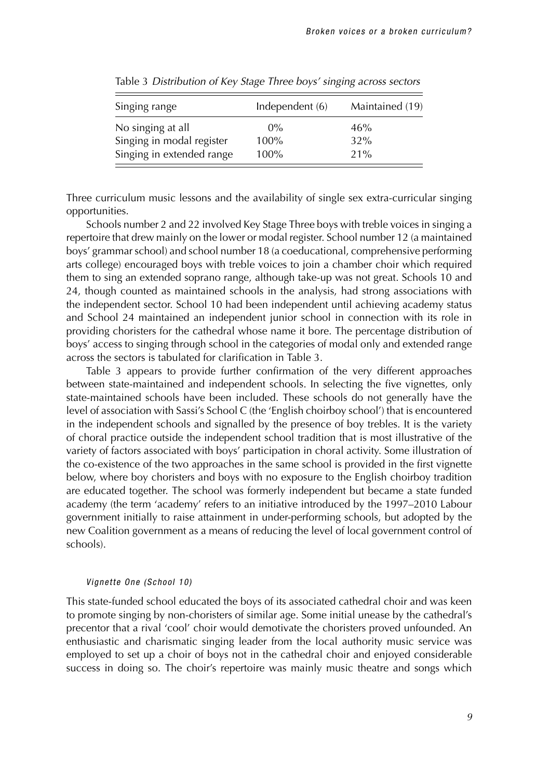| Independent $(6)$ | Maintained (19)   |  |  |
|-------------------|-------------------|--|--|
| $0\%$<br>$100\%$  | 46%<br>32%<br>21% |  |  |
|                   | 100%              |  |  |

Table 3 Distribution of Key Stage Three boys' singing across sectors

Three curriculum music lessons and the availability of single sex extra-curricular singing opportunities.

Schools number 2 and 22 involved Key Stage Three boys with treble voices in singing a repertoire that drew mainly on the lower or modal register. School number 12 (a maintained boys' grammar school) and school number 18 (a coeducational, comprehensive performing arts college) encouraged boys with treble voices to join a chamber choir which required them to sing an extended soprano range, although take-up was not great. Schools 10 and 24, though counted as maintained schools in the analysis, had strong associations with the independent sector. School 10 had been independent until achieving academy status and School 24 maintained an independent junior school in connection with its role in providing choristers for the cathedral whose name it bore. The percentage distribution of boys' access to singing through school in the categories of modal only and extended range across the sectors is tabulated for clarification in Table 3.

Table 3 appears to provide further confirmation of the very different approaches between state-maintained and independent schools. In selecting the five vignettes, only state-maintained schools have been included. These schools do not generally have the level of association with Sassi's School C (the 'English choirboy school') that is encountered in the independent schools and signalled by the presence of boy trebles. It is the variety of choral practice outside the independent school tradition that is most illustrative of the variety of factors associated with boys' participation in choral activity. Some illustration of the co-existence of the two approaches in the same school is provided in the first vignette below, where boy choristers and boys with no exposure to the English choirboy tradition are educated together. The school was formerly independent but became a state funded academy (the term 'academy' refers to an initiative introduced by the 1997–2010 Labour government initially to raise attainment in under-performing schools, but adopted by the new Coalition government as a means of reducing the level of local government control of schools).

#### Vignette One (School 10)

This state-funded school educated the boys of its associated cathedral choir and was keen to promote singing by non-choristers of similar age. Some initial unease by the cathedral's precentor that a rival 'cool' choir would demotivate the choristers proved unfounded. An enthusiastic and charismatic singing leader from the local authority music service was employed to set up a choir of boys not in the cathedral choir and enjoyed considerable success in doing so. The choir's repertoire was mainly music theatre and songs which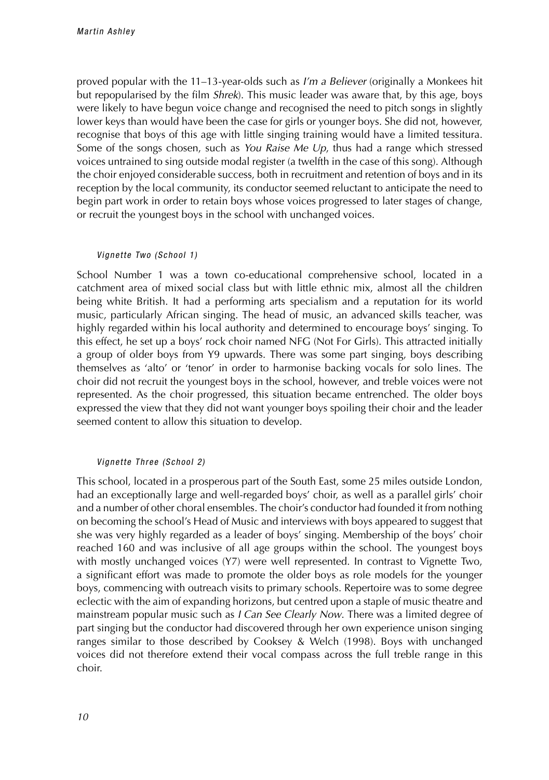proved popular with the 11–13-year-olds such as I'm a Believer (originally a Monkees hit but repopularised by the film *Shrek*). This music leader was aware that, by this age, boys were likely to have begun voice change and recognised the need to pitch songs in slightly lower keys than would have been the case for girls or younger boys. She did not, however, recognise that boys of this age with little singing training would have a limited tessitura. Some of the songs chosen, such as You Raise Me Up, thus had a range which stressed voices untrained to sing outside modal register (a twelfth in the case of this song). Although the choir enjoyed considerable success, both in recruitment and retention of boys and in its reception by the local community, its conductor seemed reluctant to anticipate the need to begin part work in order to retain boys whose voices progressed to later stages of change, or recruit the youngest boys in the school with unchanged voices.

### Vignette Two (School 1)

School Number 1 was a town co-educational comprehensive school, located in a catchment area of mixed social class but with little ethnic mix, almost all the children being white British. It had a performing arts specialism and a reputation for its world music, particularly African singing. The head of music, an advanced skills teacher, was highly regarded within his local authority and determined to encourage boys' singing. To this effect, he set up a boys' rock choir named NFG (Not For Girls). This attracted initially a group of older boys from Y9 upwards. There was some part singing, boys describing themselves as 'alto' or 'tenor' in order to harmonise backing vocals for solo lines. The choir did not recruit the youngest boys in the school, however, and treble voices were not represented. As the choir progressed, this situation became entrenched. The older boys expressed the view that they did not want younger boys spoiling their choir and the leader seemed content to allow this situation to develop.

## Vignette Three (School 2)

This school, located in a prosperous part of the South East, some 25 miles outside London, had an exceptionally large and well-regarded boys' choir, as well as a parallel girls' choir and a number of other choral ensembles. The choir's conductor had founded it from nothing on becoming the school's Head of Music and interviews with boys appeared to suggest that she was very highly regarded as a leader of boys' singing. Membership of the boys' choir reached 160 and was inclusive of all age groups within the school. The youngest boys with mostly unchanged voices (Y7) were well represented. In contrast to Vignette Two, a significant effort was made to promote the older boys as role models for the younger boys, commencing with outreach visits to primary schools. Repertoire was to some degree eclectic with the aim of expanding horizons, but centred upon a staple of music theatre and mainstream popular music such as *I Can See Clearly Now*. There was a limited degree of part singing but the conductor had discovered through her own experience unison singing ranges similar to those described by Cooksey & Welch (1998). Boys with unchanged voices did not therefore extend their vocal compass across the full treble range in this choir.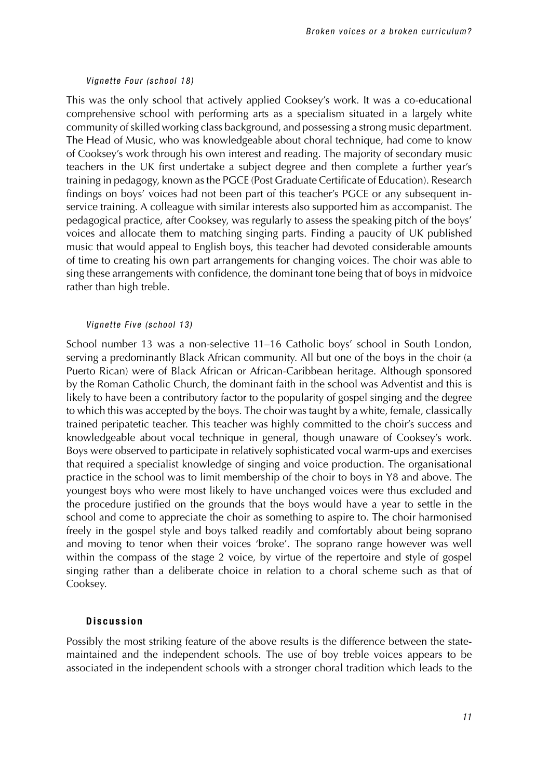#### Vignette Four (school 18)

This was the only school that actively applied Cooksey's work. It was a co-educational comprehensive school with performing arts as a specialism situated in a largely white community of skilled working class background, and possessing a strong music department. The Head of Music, who was knowledgeable about choral technique, had come to know of Cooksey's work through his own interest and reading. The majority of secondary music teachers in the UK first undertake a subject degree and then complete a further year's training in pedagogy, known as the PGCE (Post Graduate Certificate of Education). Research findings on boys' voices had not been part of this teacher's PGCE or any subsequent inservice training. A colleague with similar interests also supported him as accompanist. The pedagogical practice, after Cooksey, was regularly to assess the speaking pitch of the boys' voices and allocate them to matching singing parts. Finding a paucity of UK published music that would appeal to English boys, this teacher had devoted considerable amounts of time to creating his own part arrangements for changing voices. The choir was able to sing these arrangements with confidence, the dominant tone being that of boys in midvoice rather than high treble.

#### Vignette Five (school 13)

School number 13 was a non-selective 11–16 Catholic boys' school in South London, serving a predominantly Black African community. All but one of the boys in the choir (a Puerto Rican) were of Black African or African-Caribbean heritage. Although sponsored by the Roman Catholic Church, the dominant faith in the school was Adventist and this is likely to have been a contributory factor to the popularity of gospel singing and the degree to which this was accepted by the boys. The choir was taught by a white, female, classically trained peripatetic teacher. This teacher was highly committed to the choir's success and knowledgeable about vocal technique in general, though unaware of Cooksey's work. Boys were observed to participate in relatively sophisticated vocal warm-ups and exercises that required a specialist knowledge of singing and voice production. The organisational practice in the school was to limit membership of the choir to boys in Y8 and above. The youngest boys who were most likely to have unchanged voices were thus excluded and the procedure justified on the grounds that the boys would have a year to settle in the school and come to appreciate the choir as something to aspire to. The choir harmonised freely in the gospel style and boys talked readily and comfortably about being soprano and moving to tenor when their voices 'broke'. The soprano range however was well within the compass of the stage 2 voice, by virtue of the repertoire and style of gospel singing rather than a deliberate choice in relation to a choral scheme such as that of Cooksey.

#### **Discussion**

Possibly the most striking feature of the above results is the difference between the statemaintained and the independent schools. The use of boy treble voices appears to be associated in the independent schools with a stronger choral tradition which leads to the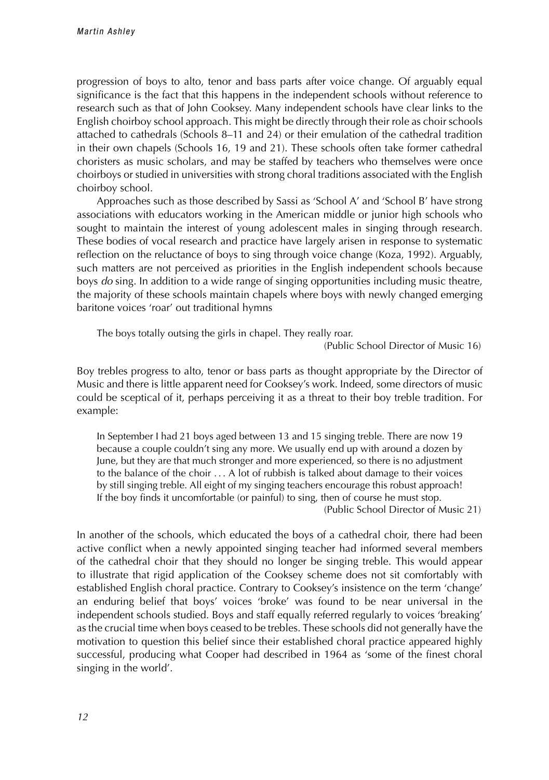progression of boys to alto, tenor and bass parts after voice change. Of arguably equal significance is the fact that this happens in the independent schools without reference to research such as that of John Cooksey. Many independent schools have clear links to the English choirboy school approach. This might be directly through their role as choir schools attached to cathedrals (Schools 8–11 and 24) or their emulation of the cathedral tradition in their own chapels (Schools 16, 19 and 21). These schools often take former cathedral choristers as music scholars, and may be staffed by teachers who themselves were once choirboys or studied in universities with strong choral traditions associated with the English choirboy school.

Approaches such as those described by Sassi as 'School A' and 'School B' have strong associations with educators working in the American middle or junior high schools who sought to maintain the interest of young adolescent males in singing through research. These bodies of vocal research and practice have largely arisen in response to systematic reflection on the reluctance of boys to sing through voice change (Koza, 1992). Arguably, such matters are not perceived as priorities in the English independent schools because boys do sing. In addition to a wide range of singing opportunities including music theatre, the majority of these schools maintain chapels where boys with newly changed emerging baritone voices 'roar' out traditional hymns

The boys totally outsing the girls in chapel. They really roar.

(Public School Director of Music 16)

Boy trebles progress to alto, tenor or bass parts as thought appropriate by the Director of Music and there is little apparent need for Cooksey's work. Indeed, some directors of music could be sceptical of it, perhaps perceiving it as a threat to their boy treble tradition. For example:

In September I had 21 boys aged between 13 and 15 singing treble. There are now 19 because a couple couldn't sing any more. We usually end up with around a dozen by June, but they are that much stronger and more experienced, so there is no adjustment to the balance of the choir ... A lot of rubbish is talked about damage to their voices by still singing treble. All eight of my singing teachers encourage this robust approach! If the boy finds it uncomfortable (or painful) to sing, then of course he must stop.

(Public School Director of Music 21)

In another of the schools, which educated the boys of a cathedral choir, there had been active conflict when a newly appointed singing teacher had informed several members of the cathedral choir that they should no longer be singing treble. This would appear to illustrate that rigid application of the Cooksey scheme does not sit comfortably with established English choral practice. Contrary to Cooksey's insistence on the term 'change' an enduring belief that boys' voices 'broke' was found to be near universal in the independent schools studied. Boys and staff equally referred regularly to voices 'breaking' as the crucial time when boys ceased to be trebles. These schools did not generally have the motivation to question this belief since their established choral practice appeared highly successful, producing what Cooper had described in 1964 as 'some of the finest choral singing in the world'.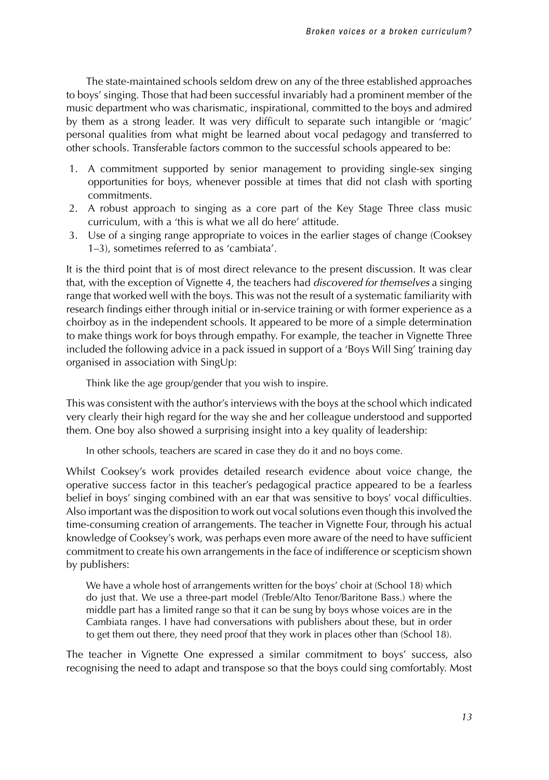The state-maintained schools seldom drew on any of the three established approaches to boys' singing. Those that had been successful invariably had a prominent member of the music department who was charismatic, inspirational, committed to the boys and admired by them as a strong leader. It was very difficult to separate such intangible or 'magic' personal qualities from what might be learned about vocal pedagogy and transferred to other schools. Transferable factors common to the successful schools appeared to be:

- 1. A commitment supported by senior management to providing single-sex singing opportunities for boys, whenever possible at times that did not clash with sporting commitments.
- 2. A robust approach to singing as a core part of the Key Stage Three class music curriculum, with a 'this is what we all do here' attitude.
- 3. Use of a singing range appropriate to voices in the earlier stages of change (Cooksey 1–3), sometimes referred to as 'cambiata'.

It is the third point that is of most direct relevance to the present discussion. It was clear that, with the exception of Vignette 4, the teachers had discovered for themselves a singing range that worked well with the boys. This was not the result of a systematic familiarity with research findings either through initial or in-service training or with former experience as a choirboy as in the independent schools. It appeared to be more of a simple determination to make things work for boys through empathy. For example, the teacher in Vignette Three included the following advice in a pack issued in support of a 'Boys Will Sing' training day organised in association with SingUp:

Think like the age group/gender that you wish to inspire.

This was consistent with the author's interviews with the boys at the school which indicated very clearly their high regard for the way she and her colleague understood and supported them. One boy also showed a surprising insight into a key quality of leadership:

In other schools, teachers are scared in case they do it and no boys come.

Whilst Cooksey's work provides detailed research evidence about voice change, the operative success factor in this teacher's pedagogical practice appeared to be a fearless belief in boys' singing combined with an ear that was sensitive to boys' vocal difficulties. Also important was the disposition to work out vocal solutions even though this involved the time-consuming creation of arrangements. The teacher in Vignette Four, through his actual knowledge of Cooksey's work, was perhaps even more aware of the need to have sufficient commitment to create his own arrangements in the face of indifference or scepticism shown by publishers:

We have a whole host of arrangements written for the boys' choir at (School 18) which do just that. We use a three-part model (Treble/Alto Tenor/Baritone Bass.) where the middle part has a limited range so that it can be sung by boys whose voices are in the Cambiata ranges. I have had conversations with publishers about these, but in order to get them out there, they need proof that they work in places other than (School 18).

The teacher in Vignette One expressed a similar commitment to boys' success, also recognising the need to adapt and transpose so that the boys could sing comfortably. Most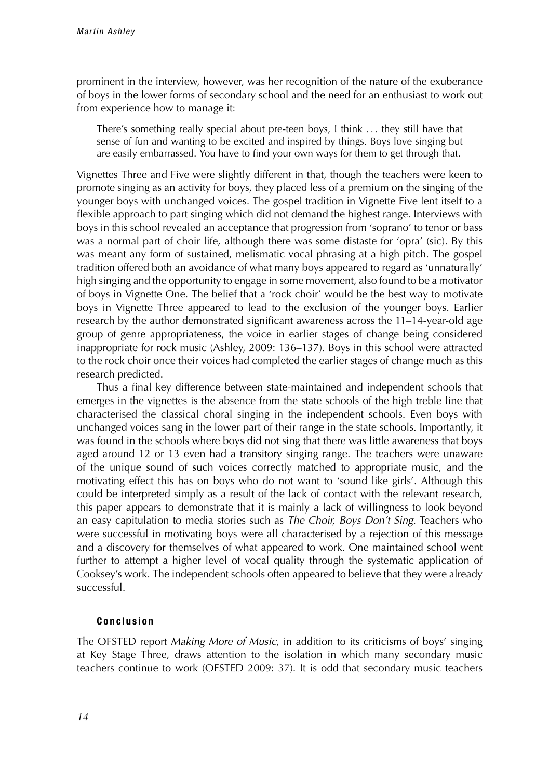prominent in the interview, however, was her recognition of the nature of the exuberance of boys in the lower forms of secondary school and the need for an enthusiast to work out from experience how to manage it:

There's something really special about pre-teen boys, I think ... they still have that sense of fun and wanting to be excited and inspired by things. Boys love singing but are easily embarrassed. You have to find your own ways for them to get through that.

Vignettes Three and Five were slightly different in that, though the teachers were keen to promote singing as an activity for boys, they placed less of a premium on the singing of the younger boys with unchanged voices. The gospel tradition in Vignette Five lent itself to a flexible approach to part singing which did not demand the highest range. Interviews with boys in this school revealed an acceptance that progression from 'soprano' to tenor or bass was a normal part of choir life, although there was some distaste for 'opra' (sic). By this was meant any form of sustained, melismatic vocal phrasing at a high pitch. The gospel tradition offered both an avoidance of what many boys appeared to regard as 'unnaturally' high singing and the opportunity to engage in some movement, also found to be a motivator of boys in Vignette One. The belief that a 'rock choir' would be the best way to motivate boys in Vignette Three appeared to lead to the exclusion of the younger boys. Earlier research by the author demonstrated significant awareness across the 11–14-year-old age group of genre appropriateness, the voice in earlier stages of change being considered inappropriate for rock music (Ashley, 2009: 136–137). Boys in this school were attracted to the rock choir once their voices had completed the earlier stages of change much as this research predicted.

Thus a final key difference between state-maintained and independent schools that emerges in the vignettes is the absence from the state schools of the high treble line that characterised the classical choral singing in the independent schools. Even boys with unchanged voices sang in the lower part of their range in the state schools. Importantly, it was found in the schools where boys did not sing that there was little awareness that boys aged around 12 or 13 even had a transitory singing range. The teachers were unaware of the unique sound of such voices correctly matched to appropriate music, and the motivating effect this has on boys who do not want to 'sound like girls'. Although this could be interpreted simply as a result of the lack of contact with the relevant research, this paper appears to demonstrate that it is mainly a lack of willingness to look beyond an easy capitulation to media stories such as The Choir, Boys Don't Sing. Teachers who were successful in motivating boys were all characterised by a rejection of this message and a discovery for themselves of what appeared to work. One maintained school went further to attempt a higher level of vocal quality through the systematic application of Cooksey's work. The independent schools often appeared to believe that they were already successful.

## **Conclusion**

The OFSTED report Making More of Music, in addition to its criticisms of boys' singing at Key Stage Three, draws attention to the isolation in which many secondary music teachers continue to work (OFSTED 2009: 37). It is odd that secondary music teachers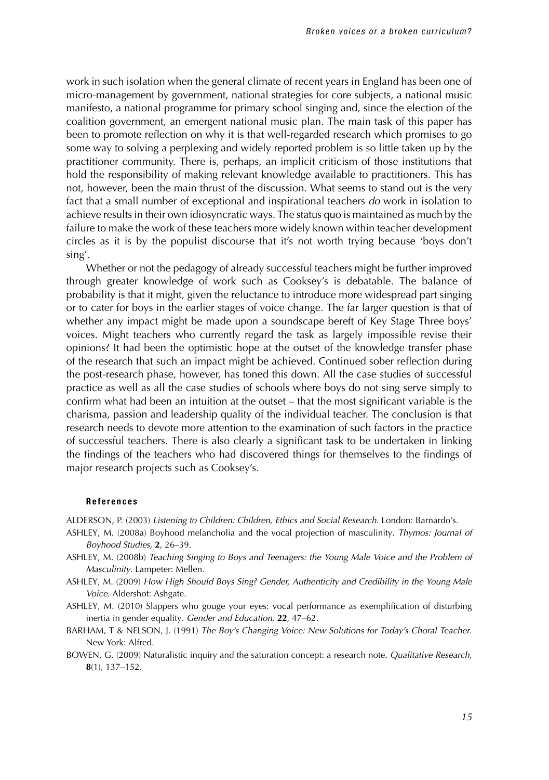work in such isolation when the general climate of recent years in England has been one of micro-management by government, national strategies for core subjects, a national music manifesto, a national programme for primary school singing and, since the election of the coalition government, an emergent national music plan. The main task of this paper has been to promote reflection on why it is that well-regarded research which promises to go some way to solving a perplexing and widely reported problem is so little taken up by the practitioner community. There is, perhaps, an implicit criticism of those institutions that hold the responsibility of making relevant knowledge available to practitioners. This has not, however, been the main thrust of the discussion. What seems to stand out is the very fact that a small number of exceptional and inspirational teachers do work in isolation to achieve results in their own idiosyncratic ways. The status quo is maintained as much by the failure to make the work of these teachers more widely known within teacher development circles as it is by the populist discourse that it's not worth trying because 'boys don't sing'.

Whether or not the pedagogy of already successful teachers might be further improved through greater knowledge of work such as Cooksey's is debatable. The balance of probability is that it might, given the reluctance to introduce more widespread part singing or to cater for boys in the earlier stages of voice change. The far larger question is that of whether any impact might be made upon a soundscape bereft of Key Stage Three boys' voices. Might teachers who currently regard the task as largely impossible revise their opinions? It had been the optimistic hope at the outset of the knowledge transfer phase of the research that such an impact might be achieved. Continued sober reflection during the post-research phase, however, has toned this down. All the case studies of successful practice as well as all the case studies of schools where boys do not sing serve simply to confirm what had been an intuition at the outset – that the most significant variable is the charisma, passion and leadership quality of the individual teacher. The conclusion is that research needs to devote more attention to the examination of such factors in the practice of successful teachers. There is also clearly a significant task to be undertaken in linking the findings of the teachers who had discovered things for themselves to the findings of major research projects such as Cooksey's.

#### **References**

ALDERSON, P. (2003) Listening to Children: Children, Ethics and Social Research. London: Barnardo's.

- ASHLEY, M. (2008a) Boyhood melancholia and the vocal projection of masculinity. Thymos: Journal of Boyhood Studies, **2**, 26–39.
- ASHLEY, M. (2008b) Teaching Singing to Boys and Teenagers: the Young Male Voice and the Problem of Masculinity. Lampeter: Mellen.
- ASHLEY, M. (2009) How High Should Boys Sing? Gender, Authenticity and Credibility in the Young Male Voice. Aldershot: Ashgate.
- ASHLEY, M. (2010) Slappers who gouge your eyes: vocal performance as exemplification of disturbing inertia in gender equality. Gender and Education, **22**, 47–62.
- BARHAM, T & NELSON, J. (1991) The Boy's Changing Voice: New Solutions for Today's Choral Teacher. New York: Alfred.
- BOWEN, G. (2009) Naturalistic inquiry and the saturation concept: a research note. Qualitative Research, **8**(1), 137–152.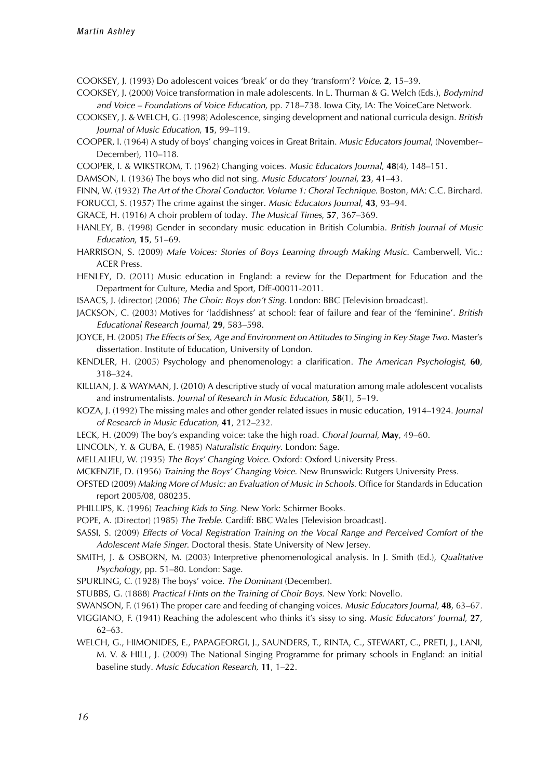COOKSEY, J. (1993) Do adolescent voices 'break' or do they 'transform'? Voice, **2**, 15–39.

- COOKSEY, J. (2000) Voice transformation in male adolescents. In L. Thurman & G. Welch (Eds.), Bodymind and Voice – Foundations of Voice Education, pp. 718–738. Iowa City, IA: The VoiceCare Network.
- COOKSEY, J. & WELCH, G. (1998) Adolescence, singing development and national curricula design. British Journal of Music Education, **15**, 99–119.
- COOPER, I. (1964) A study of boys' changing voices in Great Britain. Music Educators Journal, (November– December), 110–118.
- COOPER, I. & WIKSTROM, T. (1962) Changing voices. Music Educators Journal, **48**(4), 148–151.
- DAMSON, I. (1936) The boys who did not sing. Music Educators' Journal, **23**, 41–43.
- FINN, W. (1932) The Art of the Choral Conductor. Volume 1: Choral Technique. Boston, MA: C.C. Birchard.
- FORUCCI, S. (1957) The crime against the singer. Music Educators Journal, **43**, 93–94.
- GRACE, H. (1916) A choir problem of today. The Musical Times, **57**, 367–369.
- HANLEY, B. (1998) Gender in secondary music education in British Columbia. British Journal of Music Education, **15**, 51–69.
- HARRISON, S. (2009) Male Voices: Stories of Boys Learning through Making Music. Camberwell, Vic.: ACER Press.
- HENLEY, D. (2011) Music education in England: a review for the Department for Education and the Department for Culture, Media and Sport, DfE-00011-2011.
- ISAACS, J. (director) (2006) The Choir: Boys don't Sing. London: BBC [Television broadcast].
- JACKSON, C. (2003) Motives for 'laddishness' at school: fear of failure and fear of the 'feminine'. British Educational Research Journal, **29**, 583–598.
- JOYCE, H. (2005) The Effects of Sex, Age and Environment on Attitudes to Singing in Key Stage Two. Master's dissertation. Institute of Education, University of London.
- KENDLER, H. (2005) Psychology and phenomenology: a clarification. The American Psychologist, **60**, 318–324.
- KILLIAN, J. & WAYMAN, J. (2010) A descriptive study of vocal maturation among male adolescent vocalists and instrumentalists. Journal of Research in Music Education, **58**(1), 5–19.
- KOZA, J. (1992) The missing males and other gender related issues in music education, 1914–1924. Journal of Research in Music Education, **41**, 212–232.
- LECK, H. (2009) The boy's expanding voice: take the high road. Choral Journal, **May**, 49–60.
- LINCOLN, Y. & GUBA, E. (1985) Naturalistic Enquiry. London: Sage.
- MELLALIEU, W. (1935) The Boys' Changing Voice. Oxford: Oxford University Press.
- MCKENZIE, D. (1956) Training the Boys' Changing Voice. New Brunswick: Rutgers University Press.
- OFSTED (2009) Making More of Music: an Evaluation of Music in Schools. Office for Standards in Education report 2005/08, 080235.
- PHILLIPS, K. (1996) Teaching Kids to Sing. New York: Schirmer Books.
- POPE, A. (Director) (1985) The Treble. Cardiff: BBC Wales [Television broadcast].
- SASSI, S. (2009) Effects of Vocal Registration Training on the Vocal Range and Perceived Comfort of the Adolescent Male Singer. Doctoral thesis. State University of New Jersey.
- SMITH, J. & OSBORN, M. (2003) Interpretive phenomenological analysis. In J. Smith (Ed.), Qualitative Psychology, pp. 51–80. London: Sage.
- SPURLING, C. (1928) The boys' voice. The Dominant (December).
- STUBBS, G. (1888) Practical Hints on the Training of Choir Boys. New York: Novello.
- SWANSON, F. (1961) The proper care and feeding of changing voices. Music Educators Journal, **48**, 63–67.
- VIGGIANO, F. (1941) Reaching the adolescent who thinks it's sissy to sing. Music Educators' Journal, **27**, 62–63.
- WELCH, G., HIMONIDES, E., PAPAGEORGI, J., SAUNDERS, T., RINTA, C., STEWART, C., PRETI, J., LANI, M. V. & HILL, J. (2009) The National Singing Programme for primary schools in England: an initial baseline study. Music Education Research, **11**, 1–22.